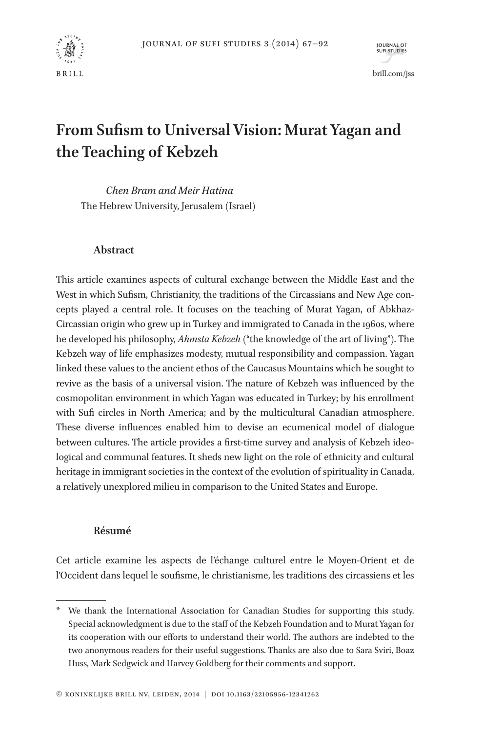

# **From Sufism to Universal Vision: Murat Yagan and the Teaching of Kebzeh**

*Chen Bram and Meir Hatina* The Hebrew University, Jerusalem (Israel)

# **Abstract**

This article examines aspects of cultural exchange between the Middle East and the West in which Sufism, Christianity, the traditions of the Circassians and New Age concepts played a central role. It focuses on the teaching of Murat Yagan, of Abkhaz-Circassian origin who grew up in Turkey and immigrated to Canada in the 1960s, where he developed his philosophy, *Ahmsta Kebzeh* ("the knowledge of the art of living"). The Kebzeh way of life emphasizes modesty, mutual responsibility and compassion. Yagan linked these values to the ancient ethos of the Caucasus Mountains which he sought to revive as the basis of a universal vision. The nature of Kebzeh was influenced by the cosmopolitan environment in which Yagan was educated in Turkey; by his enrollment with Sufi circles in North America; and by the multicultural Canadian atmosphere. These diverse influences enabled him to devise an ecumenical model of dialogue between cultures. The article provides a first-time survey and analysis of Kebzeh ideological and communal features. It sheds new light on the role of ethnicity and cultural heritage in immigrant societies in the context of the evolution of spirituality in Canada, a relatively unexplored milieu in comparison to the United States and Europe.

## **Résumé**

Cet article examine les aspects de l'échange culturel entre le Moyen-Orient et de l'Occident dans lequel le soufisme, le christianisme, les traditions des circassiens et les

We thank the International Association for Canadian Studies for supporting this study. Special acknowledgment is due to the staff of the Kebzeh Foundation and to Murat Yagan for its cooperation with our efforts to understand their world. The authors are indebted to the two anonymous readers for their useful suggestions. Thanks are also due to Sara Sviri, Boaz Huss, Mark Sedgwick and Harvey Goldberg for their comments and support.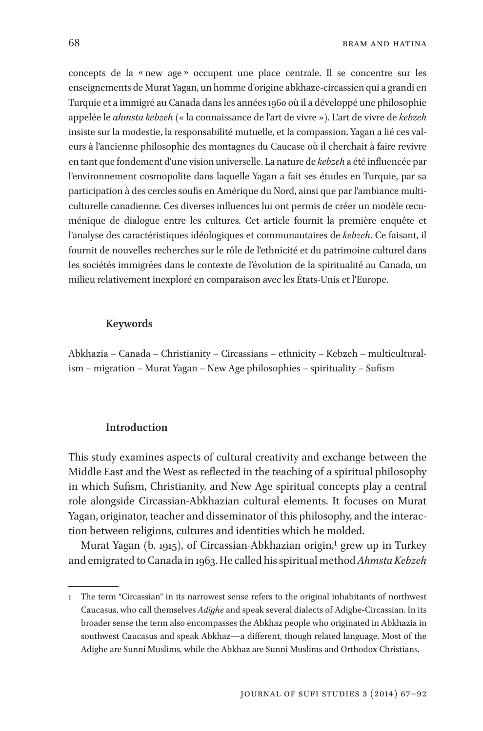68 BRAM AND HATINA

concepts de la « new age » occupent une place centrale. Il se concentre sur les enseignements de Murat Yagan, un homme d'origine abkhaze-circassien qui a grandi en Turquie et a immigré au Canada dans les années 1960 où il a développé une philosophie appelée le *ahmsta kebzeh* (« la connaissance de l'art de vivre »). L'art de vivre de *kebzeh* insiste sur la modestie, la responsabilité mutuelle, et la compassion. Yagan a lié ces valeurs à l'ancienne philosophie des montagnes du Caucase où il cherchait à faire revivre en tant que fondement d'une vision universelle. La nature de *kebzeh* a été influencée par l'environnement cosmopolite dans laquelle Yagan a fait ses études en Turquie, par sa participation à des cercles soufis en Amérique du Nord, ainsi que par l'ambiance multiculturelle canadienne. Ces diverses influences lui ont permis de créer un modèle œcuménique de dialogue entre les cultures. Cet article fournit la première enquête et l'analyse des caractéristiques idéologiques et communautaires de *kebzeh*. Ce faisant, il fournit de nouvelles recherches sur le rôle de l'ethnicité et du patrimoine culturel dans les sociétés immigrées dans le contexte de l'évolution de la spiritualité au Canada, un milieu relativement inexploré en comparaison avec les États-Unis et l'Europe.

#### **Keywords**

Abkhazia – Canada – Christianity – Circassians – ethnicity – Kebzeh – multiculturalism – migration – Murat Yagan – New Age philosophies – spirituality – Sufism

# **Introduction**

This study examines aspects of cultural creativity and exchange between the Middle East and the West as reflected in the teaching of a spiritual philosophy in which Sufism, Christianity, and New Age spiritual concepts play a central role alongside Circassian-Abkhazian cultural elements. It focuses on Murat Yagan, originator, teacher and disseminator of this philosophy, and the interaction between religions, cultures and identities which he molded.

Murat Yagan (b. 1915), of Circassian-Abkhazian origin,<sup>1</sup> grew up in Turkey and emigrated to Canada in 1963. He called his spiritual method *Ahmsta Kebzeh*

<sup>1</sup> The term "Circassian" in its narrowest sense refers to the original inhabitants of northwest Caucasus, who call themselves *Adighe* and speak several dialects of Adighe-Circassian. In its broader sense the term also encompasses the Abkhaz people who originated in Abkhazia in southwest Caucasus and speak Abkhaz—a different, though related language. Most of the Adighe are Sunni Muslims, while the Abkhaz are Sunni Muslims and Orthodox Christians.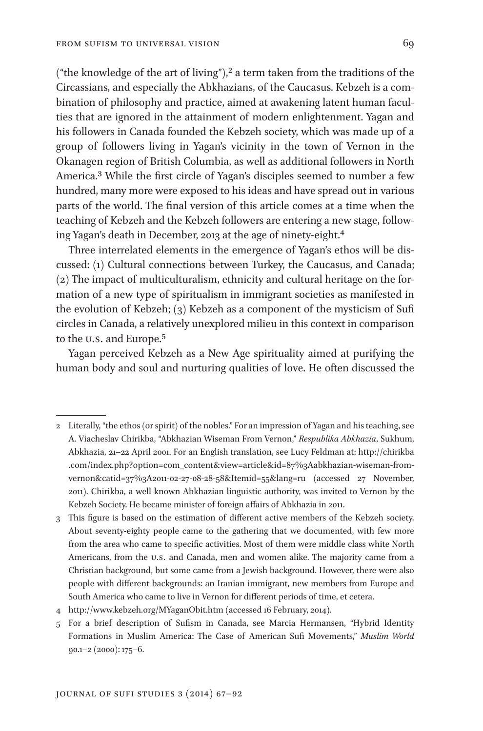("the knowledge of the art of living"),<sup>2</sup> a term taken from the traditions of the Circassians, and especially the Abkhazians, of the Caucasus. Kebzeh is a combination of philosophy and practice, aimed at awakening latent human faculties that are ignored in the attainment of modern enlightenment. Yagan and his followers in Canada founded the Kebzeh society, which was made up of a group of followers living in Yagan's vicinity in the town of Vernon in the Okanagen region of British Columbia, as well as additional followers in North America.3 While the first circle of Yagan's disciples seemed to number a few hundred, many more were exposed to his ideas and have spread out in various parts of the world. The final version of this article comes at a time when the teaching of Kebzeh and the Kebzeh followers are entering a new stage, following Yagan's death in December, 2013 at the age of ninety-eight.4

Three interrelated elements in the emergence of Yagan's ethos will be discussed: (1) Cultural connections between Turkey, the Caucasus, and Canada; (2) The impact of multiculturalism, ethnicity and cultural heritage on the formation of a new type of spiritualism in immigrant societies as manifested in the evolution of Kebzeh; (3) Kebzeh as a component of the mysticism of Sufi circles in Canada, a relatively unexplored milieu in this context in comparison to the U.S. and Europe.<sup>5</sup>

Yagan perceived Kebzeh as a New Age spirituality aimed at purifying the human body and soul and nurturing qualities of love. He often discussed the

<sup>2</sup> Literally, "the ethos (or spirit) of the nobles." For an impression of Yagan and his teaching, see A. Viacheslav Chirikba, "Abkhazian Wiseman From Vernon," *Respublika Abkhazia*, Sukhum, Abkhazia, 21–22 April 2001. For an English translation, see Lucy Feldman at: http://chirikba .com/index.php?option=com\_content&view=article&id=87%3Aabkhazian-wiseman-fromvernon&catid=37%3A2011-02-27-08-28-58&Itemid=55&lang=ru (accessed 27 November, 2011). Chirikba, a well-known Abkhazian linguistic authority, was invited to Vernon by the Kebzeh Society. He became minister of foreign affairs of Abkhazia in 2011.

<sup>3</sup> This figure is based on the estimation of different active members of the Kebzeh society. About seventy-eighty people came to the gathering that we documented, with few more from the area who came to specific activities. Most of them were middle class white North Americans, from the U.S. and Canada, men and women alike. The majority came from a Christian background, but some came from a Jewish background. However, there were also people with different backgrounds: an Iranian immigrant, new members from Europe and South America who came to live in Vernon for different periods of time, et cetera.

<sup>4</sup> http://www.kebzeh.org/MYaganObit.htm (accessed 16 February, 2014).

<sup>5</sup> For a brief description of Sufism in Canada, see Marcia Hermansen, "Hybrid Identity Formations in Muslim America: The Case of American Sufi Movements," *Muslim World* 90.1–2 (2000): 175–6.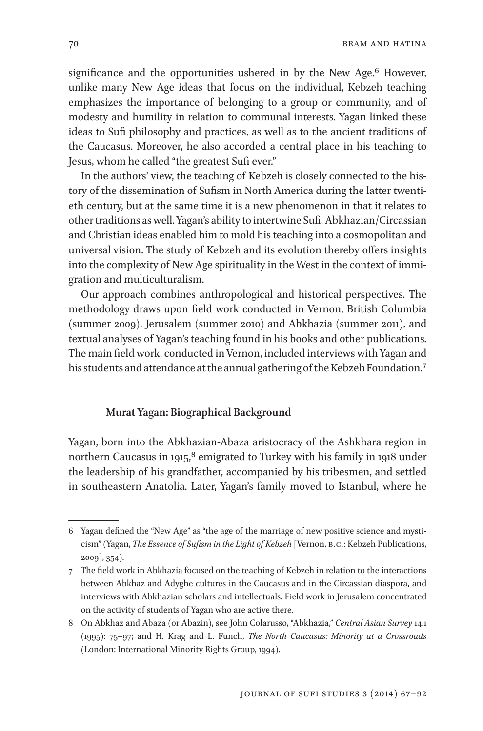70 BRAM AND HATINA

significance and the opportunities ushered in by the New Age.<sup>6</sup> However, unlike many New Age ideas that focus on the individual, Kebzeh teaching emphasizes the importance of belonging to a group or community, and of modesty and humility in relation to communal interests. Yagan linked these ideas to Sufi philosophy and practices, as well as to the ancient traditions of the Caucasus. Moreover, he also accorded a central place in his teaching to Jesus, whom he called "the greatest Sufi ever."

In the authors' view, the teaching of Kebzeh is closely connected to the history of the dissemination of Sufism in North America during the latter twentieth century, but at the same time it is a new phenomenon in that it relates to other traditions as well. Yagan's ability to intertwine Sufi, Abkhazian/Circassian and Christian ideas enabled him to mold his teaching into a cosmopolitan and universal vision. The study of Kebzeh and its evolution thereby offers insights into the complexity of New Age spirituality in the West in the context of immigration and multiculturalism.

Our approach combines anthropological and historical perspectives. The methodology draws upon field work conducted in Vernon, British Columbia (summer 2009), Jerusalem (summer 2010) and Abkhazia (summer 2011), and textual analyses of Yagan's teaching found in his books and other publications. The main field work, conducted in Vernon, included interviews with Yagan and his students and attendance at the annual gathering of the Kebzeh Foundation.<sup>7</sup>

#### **Murat Yagan: Biographical Background**

Yagan, born into the Abkhazian-Abaza aristocracy of the Ashkhara region in northern Caucasus in 1915,<sup>8</sup> emigrated to Turkey with his family in 1918 under the leadership of his grandfather, accompanied by his tribesmen, and settled in southeastern Anatolia. Later, Yagan's family moved to Istanbul, where he

<sup>6</sup> Yagan defined the "New Age" as "the age of the marriage of new positive science and mysticism" (Yagan, *The Essence of Sufism in the Light of Kebzeh* [Vernon, b.c.: Kebzeh Publications, 2009], 354).

<sup>7</sup> The field work in Abkhazia focused on the teaching of Kebzeh in relation to the interactions between Abkhaz and Adyghe cultures in the Caucasus and in the Circassian diaspora, and interviews with Abkhazian scholars and intellectuals. Field work in Jerusalem concentrated on the activity of students of Yagan who are active there.

<sup>8</sup> On Abkhaz and Abaza (or Abazin), see John Colarusso, "Abkhazia," *Central Asian Survey* 14.1 (1995): 75–97; and H. Krag and L. Funch, *The North Caucasus: Minority at a Crossroads* (London: International Minority Rights Group, 1994).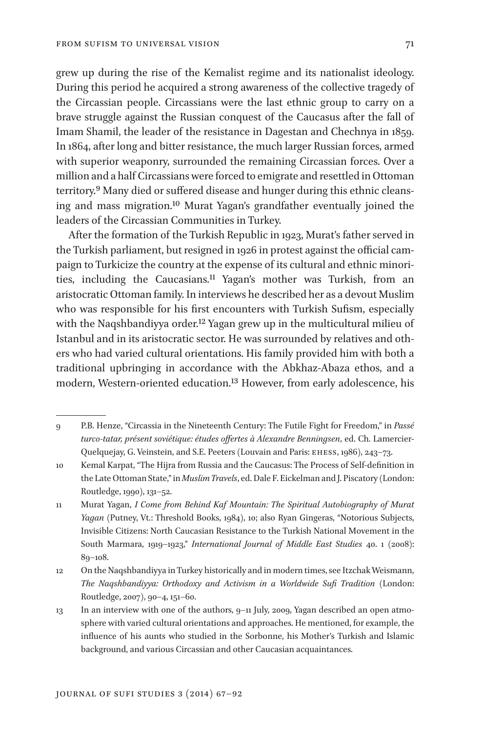grew up during the rise of the Kemalist regime and its nationalist ideology. During this period he acquired a strong awareness of the collective tragedy of the Circassian people. Circassians were the last ethnic group to carry on a brave struggle against the Russian conquest of the Caucasus after the fall of Imam Shamil, the leader of the resistance in Dagestan and Chechnya in 1859. In 1864, after long and bitter resistance, the much larger Russian forces, armed with superior weaponry, surrounded the remaining Circassian forces. Over a million and a half Circassians were forced to emigrate and resettled in Ottoman territory.9 Many died or suffered disease and hunger during this ethnic cleansing and mass migration.10 Murat Yagan's grandfather eventually joined the leaders of the Circassian Communities in Turkey.

After the formation of the Turkish Republic in 1923, Murat's father served in the Turkish parliament, but resigned in 1926 in protest against the official campaign to Turkicize the country at the expense of its cultural and ethnic minorities, including the Caucasians.11 Yagan's mother was Turkish, from an aristocratic Ottoman family. In interviews he described her as a devout Muslim who was responsible for his first encounters with Turkish Sufism, especially with the Naqshbandiyya order.<sup>12</sup> Yagan grew up in the multicultural milieu of Istanbul and in its aristocratic sector. He was surrounded by relatives and others who had varied cultural orientations. His family provided him with both a traditional upbringing in accordance with the Abkhaz-Abaza ethos, and a modern, Western-oriented education.13 However, from early adolescence, his

<sup>9</sup> P.B. Henze, "Circassia in the Nineteenth Century: The Futile Fight for Freedom," in *Pasś turco-tatar, pŕsent sovítique: ́tudes offertes ̀ Alexandre Benningsen*, ed. Ch. Lamercier-Quelquejay, G. Veinstein, and S.E. Peeters (Louvain and Paris: ehess, 1986), 243–73.

<sup>10</sup> Kemal Karpat, "The Hijra from Russia and the Caucasus: The Process of Self-definition in the Late Ottoman State," in *Muslim Travels*, ed. Dale F. Eickelman and J. Piscatory (London: Routledge, 1990), 131–52.

<sup>11</sup> Murat Yagan, *I Come from Behind Kaf Mountain: The Spiritual Autobiography of Murat Yagan* (Putney, Vt.: Threshold Books, 1984), 10; also Ryan Gingeras, "Notorious Subjects, Invisible Citizens: North Caucasian Resistance to the Turkish National Movement in the South Marmara, 1919–1923," *International Journal of Middle East Studies* 40. 1 (2008): 89–108.

<sup>12</sup> On the Naqshbandiyya in Turkey historically and in modern times, see Itzchak Weismann, *The Naqshbandiyya: Orthodoxy and Activism in a Worldwide Sufi Tradition* (London: Routledge, 2007), 90–4, 151–60.

<sup>13</sup> In an interview with one of the authors, 9–11 July, 2009, Yagan described an open atmosphere with varied cultural orientations and approaches. He mentioned, for example, the influence of his aunts who studied in the Sorbonne, his Mother's Turkish and Islamic background, and various Circassian and other Caucasian acquaintances.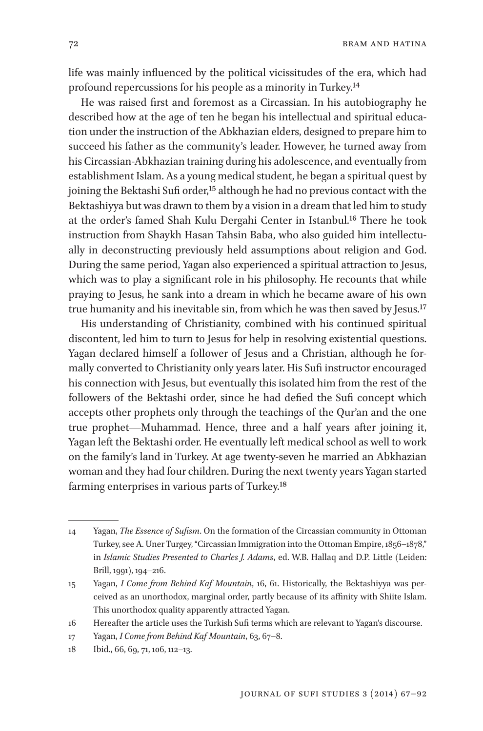life was mainly influenced by the political vicissitudes of the era, which had profound repercussions for his people as a minority in Turkey.14

He was raised first and foremost as a Circassian. In his autobiography he described how at the age of ten he began his intellectual and spiritual education under the instruction of the Abkhazian elders, designed to prepare him to succeed his father as the community's leader. However, he turned away from his Circassian-Abkhazian training during his adolescence, and eventually from establishment Islam. As a young medical student, he began a spiritual quest by joining the Bektashi Sufi order,<sup>15</sup> although he had no previous contact with the Bektashiyya but was drawn to them by a vision in a dream that led him to study at the order's famed Shah Kulu Dergahi Center in Istanbul.16 There he took instruction from Shaykh Hasan Tahsin Baba, who also guided him intellectually in deconstructing previously held assumptions about religion and God. During the same period, Yagan also experienced a spiritual attraction to Jesus, which was to play a significant role in his philosophy. He recounts that while praying to Jesus, he sank into a dream in which he became aware of his own true humanity and his inevitable sin, from which he was then saved by Jesus.<sup>17</sup>

His understanding of Christianity, combined with his continued spiritual discontent, led him to turn to Jesus for help in resolving existential questions. Yagan declared himself a follower of Jesus and a Christian, although he formally converted to Christianity only years later. His Sufi instructor encouraged his connection with Jesus, but eventually this isolated him from the rest of the followers of the Bektashi order, since he had defied the Sufi concept which accepts other prophets only through the teachings of the Qur'an and the one true prophet—Muhammad. Hence, three and a half years after joining it, Yagan left the Bektashi order. He eventually left medical school as well to work on the family's land in Turkey. At age twenty-seven he married an Abkhazian woman and they had four children. During the next twenty years Yagan started farming enterprises in various parts of Turkey.<sup>18</sup>

<sup>14</sup> Yagan, *The Essence of Sufism*. On the formation of the Circassian community in Ottoman Turkey, see A. Uner Turgey, "Circassian Immigration into the Ottoman Empire, 1856–1878," in *Islamic Studies Presented to Charles J. Adams*, ed. W.B. Hallaq and D.P. Little (Leiden: Brill, 1991), 194–216.

<sup>15</sup> Yagan, *I Come from Behind Kaf Mountain*, 16, 61. Historically, the Bektashiyya was perceived as an unorthodox, marginal order, partly because of its affinity with Shiite Islam. This unorthodox quality apparently attracted Yagan.

<sup>16</sup> Hereafter the article uses the Turkish Sufi terms which are relevant to Yagan's discourse.

<sup>17</sup> Yagan, *I Come from Behind Kaf Mountain*, 63, 67–8.

<sup>18</sup> Ibid., 66, 69, 71, 106, 112–13.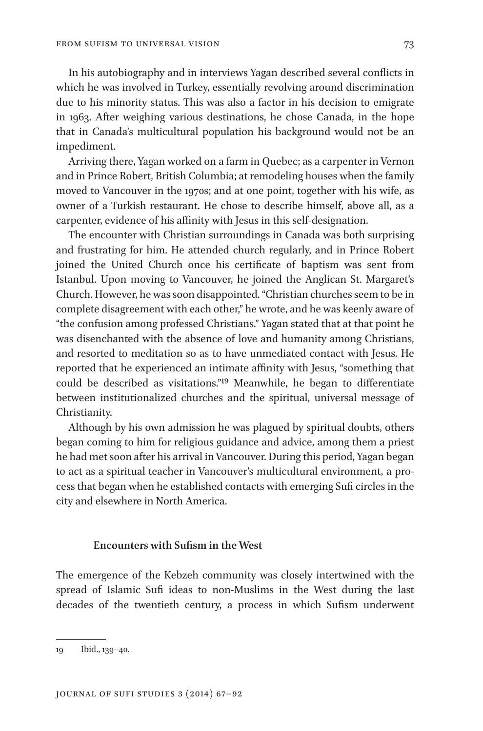In his autobiography and in interviews Yagan described several conflicts in which he was involved in Turkey, essentially revolving around discrimination due to his minority status. This was also a factor in his decision to emigrate in 1963. After weighing various destinations, he chose Canada, in the hope that in Canada's multicultural population his background would not be an impediment.

Arriving there, Yagan worked on a farm in Quebec; as a carpenter in Vernon and in Prince Robert, British Columbia; at remodeling houses when the family moved to Vancouver in the 1970s; and at one point, together with his wife, as owner of a Turkish restaurant. He chose to describe himself, above all, as a carpenter, evidence of his affinity with Jesus in this self-designation.

The encounter with Christian surroundings in Canada was both surprising and frustrating for him. He attended church regularly, and in Prince Robert joined the United Church once his certificate of baptism was sent from Istanbul. Upon moving to Vancouver, he joined the Anglican St. Margaret's Church. However, he was soon disappointed. "Christian churches seem to be in complete disagreement with each other," he wrote, and he was keenly aware of "the confusion among professed Christians." Yagan stated that at that point he was disenchanted with the absence of love and humanity among Christians, and resorted to meditation so as to have unmediated contact with Jesus. He reported that he experienced an intimate affinity with Jesus, "something that could be described as visitations."19 Meanwhile, he began to differentiate between institutionalized churches and the spiritual, universal message of Christianity.

Although by his own admission he was plagued by spiritual doubts, others began coming to him for religious guidance and advice, among them a priest he had met soon after his arrival in Vancouver. During this period, Yagan began to act as a spiritual teacher in Vancouver's multicultural environment, a process that began when he established contacts with emerging Sufi circles in the city and elsewhere in North America.

# **Encounters with Sufism in the West**

The emergence of the Kebzeh community was closely intertwined with the spread of Islamic Sufi ideas to non-Muslims in the West during the last decades of the twentieth century, a process in which Sufism underwent

<sup>19</sup> Ibid., 139–40.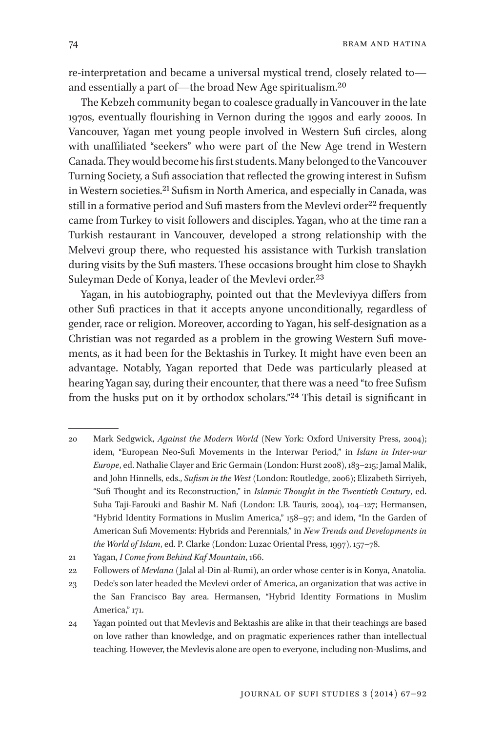re-interpretation and became a universal mystical trend, closely related to and essentially a part of—the broad New Age spiritualism.20

The Kebzeh community began to coalesce gradually in Vancouver in the late 1970s, eventually flourishing in Vernon during the 1990s and early 2000s. In Vancouver, Yagan met young people involved in Western Sufi circles, along with unaffiliated "seekers" who were part of the New Age trend in Western Canada. They would become his first students. Many belonged to the Vancouver Turning Society, a Sufi association that reflected the growing interest in Sufism in Western societies.<sup>21</sup> Sufism in North America, and especially in Canada, was still in a formative period and Sufi masters from the Mevlevi order<sup>22</sup> frequently came from Turkey to visit followers and disciples. Yagan, who at the time ran a Turkish restaurant in Vancouver, developed a strong relationship with the Melvevi group there, who requested his assistance with Turkish translation during visits by the Sufi masters. These occasions brought him close to Shaykh Suleyman Dede of Konya, leader of the Mevlevi order.<sup>23</sup>

Yagan, in his autobiography, pointed out that the Mevleviyya differs from other Sufi practices in that it accepts anyone unconditionally, regardless of gender, race or religion. Moreover, according to Yagan, his self-designation as a Christian was not regarded as a problem in the growing Western Sufi movements, as it had been for the Bektashis in Turkey. It might have even been an advantage. Notably, Yagan reported that Dede was particularly pleased at hearing Yagan say, during their encounter, that there was a need "to free Sufism from the husks put on it by orthodox scholars."24 This detail is significant in

<sup>20</sup> Mark Sedgwick, *Against the Modern World* (New York: Oxford University Press, 2004); idem, "European Neo-Sufi Movements in the Interwar Period," in *Islam in Inter-war Europe*, ed. Nathalie Clayer and Eric Germain (London: Hurst 2008), 183–215; Jamal Malik, and John Hinnells, eds., *Sufism in the West* (London: Routledge, 2006); Elizabeth Sirriyeh, "Sufi Thought and its Reconstruction," in *Islamic Thought in the Twentieth Century*, ed. Suha Taji-Farouki and Bashir M. Nafi (London: I.B. Tauris, 2004), 104–127; Hermansen, "Hybrid Identity Formations in Muslim America," 158–97; and idem, "In the Garden of American Sufi Movements: Hybrids and Perennials," in *New Trends and Developments in the World of Islam*, ed. P. Clarke (London: Luzac Oriental Press, 1997), 157–78.

<sup>21</sup> Yagan, *I Come from Behind Kaf Mountain*, 166.

<sup>22</sup> Followers of *Mevlana* (Jalal al-Din al-Rumi), an order whose center is in Konya, Anatolia.

<sup>23</sup> Dede's son later headed the Mevlevi order of America, an organization that was active in the San Francisco Bay area. Hermansen, "Hybrid Identity Formations in Muslim America," 171.

<sup>24</sup> Yagan pointed out that Mevlevis and Bektashis are alike in that their teachings are based on love rather than knowledge, and on pragmatic experiences rather than intellectual teaching. However, the Mevlevis alone are open to everyone, including non-Muslims, and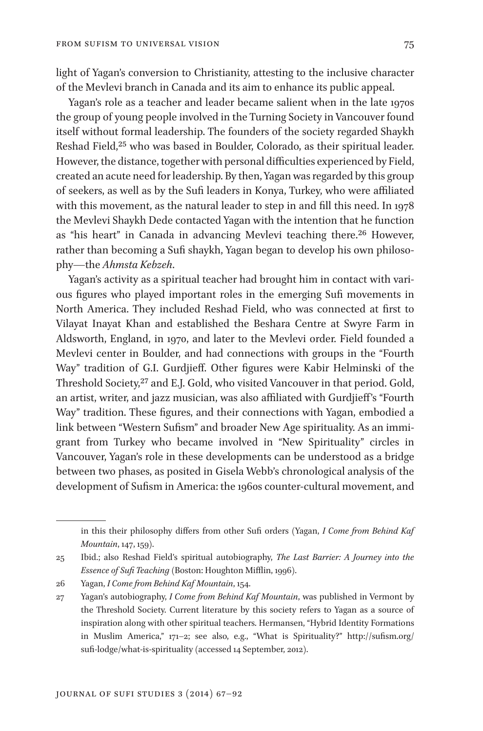light of Yagan's conversion to Christianity, attesting to the inclusive character of the Mevlevi branch in Canada and its aim to enhance its public appeal.

Yagan's role as a teacher and leader became salient when in the late 1970s the group of young people involved in the Turning Society in Vancouver found itself without formal leadership. The founders of the society regarded Shaykh Reshad Field,<sup>25</sup> who was based in Boulder, Colorado, as their spiritual leader. However, the distance, together with personal difficulties experienced by Field, created an acute need for leadership. By then, Yagan was regarded by this group of seekers, as well as by the Sufi leaders in Konya, Turkey, who were affiliated with this movement, as the natural leader to step in and fill this need. In 1978 the Mevlevi Shaykh Dede contacted Yagan with the intention that he function as "his heart" in Canada in advancing Mevlevi teaching there.26 However, rather than becoming a Sufi shaykh, Yagan began to develop his own philosophy—the *Ahmsta Kebzeh*.

Yagan's activity as a spiritual teacher had brought him in contact with various figures who played important roles in the emerging Sufi movements in North America. They included Reshad Field, who was connected at first to Vilayat Inayat Khan and established the Beshara Centre at Swyre Farm in Aldsworth, England, in 1970, and later to the Mevlevi order. Field founded a Mevlevi center in Boulder, and had connections with groups in the "Fourth Way" tradition of G.I. Gurdjieff. Other figures were Kabir Helminski of the Threshold Society,<sup>27</sup> and E.J. Gold, who visited Vancouver in that period. Gold, an artist, writer, and jazz musician, was also affiliated with Gurdjieff's "Fourth Way" tradition. These figures, and their connections with Yagan, embodied a link between "Western Sufism" and broader New Age spirituality. As an immigrant from Turkey who became involved in "New Spirituality" circles in Vancouver, Yagan's role in these developments can be understood as a bridge between two phases, as posited in Gisela Webb's chronological analysis of the development of Sufism in America: the 1960s counter-cultural movement, and

in this their philosophy differs from other Sufi orders (Yagan, *I Come from Behind Kaf Mountain*, 147, 159).

<sup>25</sup> Ibid.; also Reshad Field's spiritual autobiography, *The Last Barrier: A Journey into the Essence of Sufi Teaching* (Boston: Houghton Mifflin, 1996).

<sup>26</sup> Yagan, *I Come from Behind Kaf Mountain*, 154.

<sup>27</sup> Yagan's autobiography, *I Come from Behind Kaf Mountain*, was published in Vermont by the Threshold Society. Current literature by this society refers to Yagan as a source of inspiration along with other spiritual teachers. Hermansen, "Hybrid Identity Formations in Muslim America," 171–2; see also, e.g., "What is Spirituality?" http://sufism.org/ sufi-lodge/what-is-spirituality (accessed 14 September, 2012).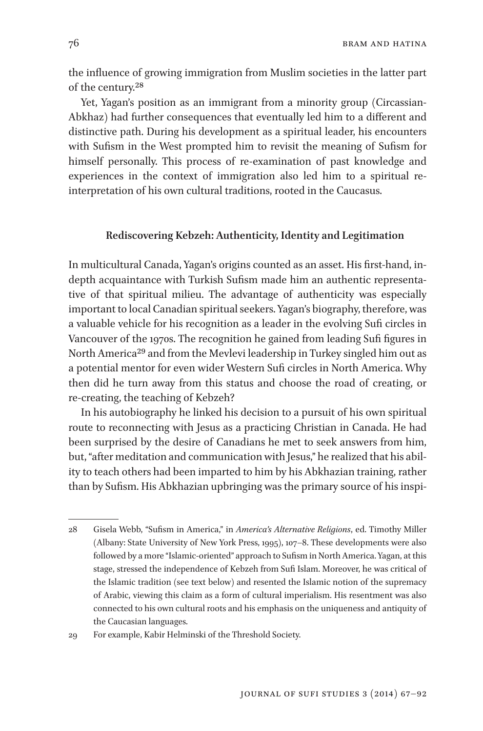76 BRAM AND HATINA

the influence of growing immigration from Muslim societies in the latter part of the century.28

Yet, Yagan's position as an immigrant from a minority group (Circassian-Abkhaz) had further consequences that eventually led him to a different and distinctive path. During his development as a spiritual leader, his encounters with Sufism in the West prompted him to revisit the meaning of Sufism for himself personally. This process of re-examination of past knowledge and experiences in the context of immigration also led him to a spiritual reinterpretation of his own cultural traditions, rooted in the Caucasus.

#### **Rediscovering Kebzeh: Authenticity, Identity and Legitimation**

In multicultural Canada, Yagan's origins counted as an asset. His first-hand, indepth acquaintance with Turkish Sufism made him an authentic representative of that spiritual milieu. The advantage of authenticity was especially important to local Canadian spiritual seekers. Yagan's biography, therefore, was a valuable vehicle for his recognition as a leader in the evolving Sufi circles in Vancouver of the 1970s. The recognition he gained from leading Sufi figures in North America<sup>29</sup> and from the Mevlevi leadership in Turkey singled him out as a potential mentor for even wider Western Sufi circles in North America. Why then did he turn away from this status and choose the road of creating, or re-creating, the teaching of Kebzeh?

In his autobiography he linked his decision to a pursuit of his own spiritual route to reconnecting with Jesus as a practicing Christian in Canada. He had been surprised by the desire of Canadians he met to seek answers from him, but, "after meditation and communication with Jesus," he realized that his ability to teach others had been imparted to him by his Abkhazian training, rather than by Sufism. His Abkhazian upbringing was the primary source of his inspi-

<sup>28</sup> Gisela Webb, "Sufism in America," in *America's Alternative Religions*, ed. Timothy Miller (Albany: State University of New York Press, 1995), 107–8. These developments were also followed by a more "Islamic-oriented" approach to Sufism in North America. Yagan, at this stage, stressed the independence of Kebzeh from Sufi Islam. Moreover, he was critical of the Islamic tradition (see text below) and resented the Islamic notion of the supremacy of Arabic, viewing this claim as a form of cultural imperialism. His resentment was also connected to his own cultural roots and his emphasis on the uniqueness and antiquity of the Caucasian languages.

<sup>29</sup> For example, Kabir Helminski of the Threshold Society.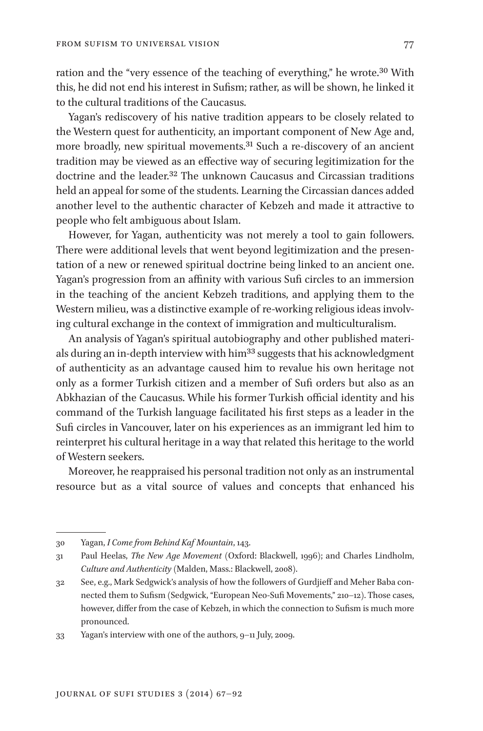ration and the "very essence of the teaching of everything," he wrote.<sup>30</sup> With this, he did not end his interest in Sufism; rather, as will be shown, he linked it to the cultural traditions of the Caucasus.

Yagan's rediscovery of his native tradition appears to be closely related to the Western quest for authenticity, an important component of New Age and, more broadly, new spiritual movements.<sup>31</sup> Such a re-discovery of an ancient tradition may be viewed as an effective way of securing legitimization for the doctrine and the leader.<sup>32</sup> The unknown Caucasus and Circassian traditions held an appeal for some of the students. Learning the Circassian dances added another level to the authentic character of Kebzeh and made it attractive to people who felt ambiguous about Islam.

However, for Yagan, authenticity was not merely a tool to gain followers. There were additional levels that went beyond legitimization and the presentation of a new or renewed spiritual doctrine being linked to an ancient one. Yagan's progression from an affinity with various Sufi circles to an immersion in the teaching of the ancient Kebzeh traditions, and applying them to the Western milieu, was a distinctive example of re-working religious ideas involving cultural exchange in the context of immigration and multiculturalism.

An analysis of Yagan's spiritual autobiography and other published materials during an in-depth interview with him<sup>33</sup> suggests that his acknowledgment of authenticity as an advantage caused him to revalue his own heritage not only as a former Turkish citizen and a member of Sufi orders but also as an Abkhazian of the Caucasus. While his former Turkish official identity and his command of the Turkish language facilitated his first steps as a leader in the Sufi circles in Vancouver, later on his experiences as an immigrant led him to reinterpret his cultural heritage in a way that related this heritage to the world of Western seekers.

Moreover, he reappraised his personal tradition not only as an instrumental resource but as a vital source of values and concepts that enhanced his

<sup>30</sup> Yagan, *I Come from Behind Kaf Mountain*, 143.

<sup>31</sup> Paul Heelas, *The New Age Movement* (Oxford: Blackwell, 1996); and Charles Lindholm, *Culture and Authenticity* (Malden, Mass.: Blackwell, 2008).

<sup>32</sup> See, e.g., Mark Sedgwick's analysis of how the followers of Gurdjieff and Meher Baba connected them to Sufism (Sedgwick, "European Neo-Sufi Movements," 210–12). Those cases, however, differ from the case of Kebzeh, in which the connection to Sufism is much more pronounced.

<sup>33</sup> Yagan's interview with one of the authors, 9–11 July, 2009.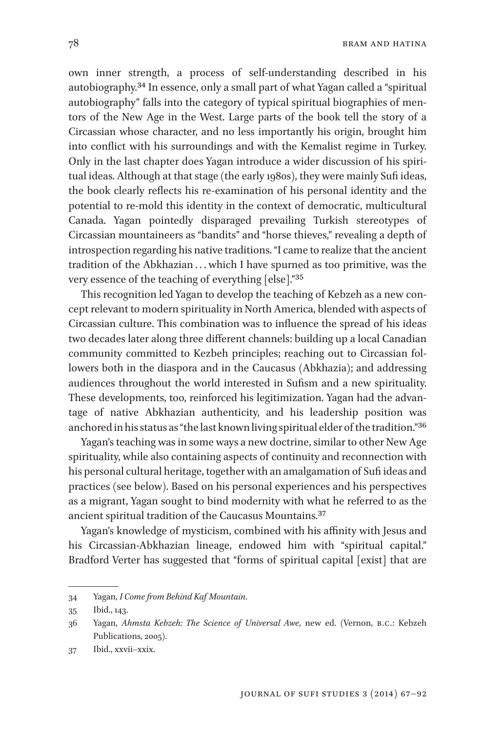own inner strength, a process of self-understanding described in his autobiography.34 In essence, only a small part of what Yagan called a "spiritual autobiography" falls into the category of typical spiritual biographies of mentors of the New Age in the West. Large parts of the book tell the story of a Circassian whose character, and no less importantly his origin, brought him into conflict with his surroundings and with the Kemalist regime in Turkey. Only in the last chapter does Yagan introduce a wider discussion of his spiritual ideas. Although at that stage (the early 1980s), they were mainly Sufi ideas, the book clearly reflects his re-examination of his personal identity and the potential to re-mold this identity in the context of democratic, multicultural Canada. Yagan pointedly disparaged prevailing Turkish stereotypes of Circassian mountaineers as "bandits" and "horse thieves," revealing a depth of introspection regarding his native traditions. "I came to realize that the ancient tradition of the Abkhazian . . . which I have spurned as too primitive, was the very essence of the teaching of everything [else]."35

This recognition led Yagan to develop the teaching of Kebzeh as a new concept relevant to modern spirituality in North America, blended with aspects of Circassian culture. This combination was to influence the spread of his ideas two decades later along three different channels: building up a local Canadian community committed to Kezbeh principles; reaching out to Circassian followers both in the diaspora and in the Caucasus (Abkhazia); and addressing audiences throughout the world interested in Sufism and a new spirituality. These developments, too, reinforced his legitimization. Yagan had the advantage of native Abkhazian authenticity, and his leadership position was anchored in his status as "the last known living spiritual elder of the tradition."36

Yagan's teaching was in some ways a new doctrine, similar to other New Age spirituality, while also containing aspects of continuity and reconnection with his personal cultural heritage, together with an amalgamation of Sufi ideas and practices (see below). Based on his personal experiences and his perspectives as a migrant, Yagan sought to bind modernity with what he referred to as the ancient spiritual tradition of the Caucasus Mountains.37

Yagan's knowledge of mysticism, combined with his affinity with Jesus and his Circassian-Abkhazian lineage, endowed him with "spiritual capital." Bradford Verter has suggested that "forms of spiritual capital [exist] that are

<sup>34</sup> Yagan, *I Come from Behind Kaf Mountain*.

<sup>35</sup> Ibid., 143.

<sup>36</sup> Yagan, *Ahmsta Kebzeh: The Science of Universal Awe*, new ed. (Vernon, b.c.: Kebzeh Publications, 2005).

<sup>37</sup> Ibid., xxvii–xxix.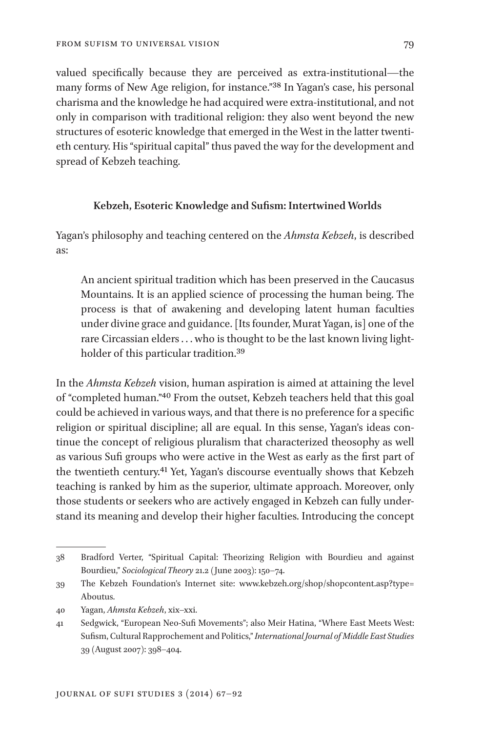valued specifically because they are perceived as extra-institutional—the many forms of New Age religion, for instance."38 In Yagan's case, his personal charisma and the knowledge he had acquired were extra-institutional, and not only in comparison with traditional religion: they also went beyond the new structures of esoteric knowledge that emerged in the West in the latter twentieth century. His "spiritual capital" thus paved the way for the development and spread of Kebzeh teaching.

# **Kebzeh, Esoteric Knowledge and Sufism: Intertwined Worlds**

Yagan's philosophy and teaching centered on the *Ahmsta Kebzeh*, is described as:

An ancient spiritual tradition which has been preserved in the Caucasus Mountains. It is an applied science of processing the human being. The process is that of awakening and developing latent human faculties under divine grace and guidance. [Its founder, Murat Yagan, is] one of the rare Circassian elders . . . who is thought to be the last known living lightholder of this particular tradition.39

In the *Ahmsta Kebzeh* vision, human aspiration is aimed at attaining the level of "completed human."40 From the outset, Kebzeh teachers held that this goal could be achieved in various ways, and that there is no preference for a specific religion or spiritual discipline; all are equal. In this sense, Yagan's ideas continue the concept of religious pluralism that characterized theosophy as well as various Sufi groups who were active in the West as early as the first part of the twentieth century.<sup>41</sup> Yet, Yagan's discourse eventually shows that Kebzeh teaching is ranked by him as the superior, ultimate approach. Moreover, only those students or seekers who are actively engaged in Kebzeh can fully understand its meaning and develop their higher faculties. Introducing the concept

<sup>38</sup> Bradford Verter, "Spiritual Capital: Theorizing Religion with Bourdieu and against Bourdieu," *Sociological Theory* 21.2 (June 2003): 150–74.

<sup>39</sup> The Kebzeh Foundation's Internet site: www.kebzeh.org/shop/shopcontent.asp?type= Aboutus.

<sup>40</sup> Yagan, *Ahmsta Kebzeh*, xix–xxi.

<sup>41</sup> Sedgwick, "European Neo-Sufi Movements"; also Meir Hatina, "Where East Meets West: Sufism, Cultural Rapprochement and Politics," *International Journal of Middle East Studies* 39 (August 2007): 398–404.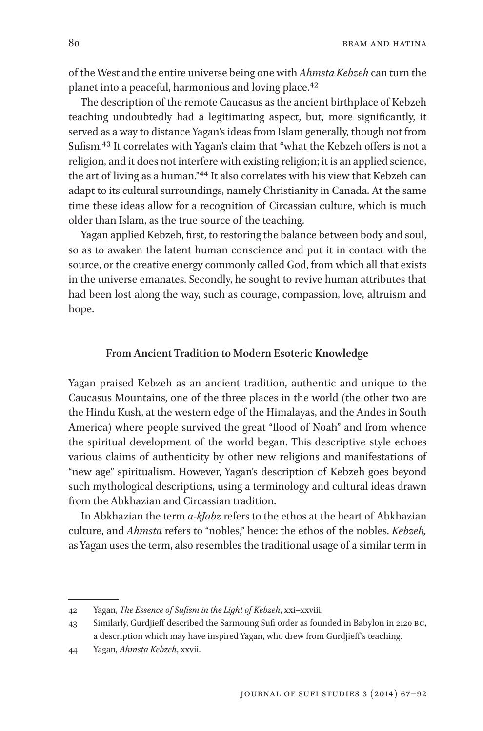80 BRAM AND HATINA

of the West and the entire universe being one with *Ahmsta Kebzeh* can turn the planet into a peaceful, harmonious and loving place.42

The description of the remote Caucasus as the ancient birthplace of Kebzeh teaching undoubtedly had a legitimating aspect, but, more significantly, it served as a way to distance Yagan's ideas from Islam generally, though not from Sufism.43 It correlates with Yagan's claim that "what the Kebzeh offers is not a religion, and it does not interfere with existing religion; it is an applied science, the art of living as a human."<sup>44</sup> It also correlates with his view that Kebzeh can adapt to its cultural surroundings, namely Christianity in Canada. At the same time these ideas allow for a recognition of Circassian culture, which is much older than Islam, as the true source of the teaching.

Yagan applied Kebzeh, first, to restoring the balance between body and soul, so as to awaken the latent human conscience and put it in contact with the source, or the creative energy commonly called God, from which all that exists in the universe emanates. Secondly, he sought to revive human attributes that had been lost along the way, such as courage, compassion, love, altruism and hope.

#### **From Ancient Tradition to Modern Esoteric Knowledge**

Yagan praised Kebzeh as an ancient tradition, authentic and unique to the Caucasus Mountains, one of the three places in the world (the other two are the Hindu Kush, at the western edge of the Himalayas, and the Andes in South America) where people survived the great "flood of Noah" and from whence the spiritual development of the world began. This descriptive style echoes various claims of authenticity by other new religions and manifestations of "new age" spiritualism. However, Yagan's description of Kebzeh goes beyond such mythological descriptions, using a terminology and cultural ideas drawn from the Abkhazian and Circassian tradition.

In Abkhazian the term *a-kJabz* refers to the ethos at the heart of Abkhazian culture, and *Ahmsta* refers to "nobles," hence: the ethos of the nobles. *Kebzeh,* as Yagan uses the term, also resembles the traditional usage of a similar term in

<sup>42</sup> Yagan, *The Essence of Sufism in the Light of Kebzeh*, xxi–xxviii.

<sup>43</sup> Similarly, Gurdjieff described the Sarmoung Sufi order as founded in Babylon in 2120 bc, a description which may have inspired Yagan, who drew from Gurdjieff's teaching.

<sup>44</sup> Yagan, *Ahmsta Kebzeh*, xxvii.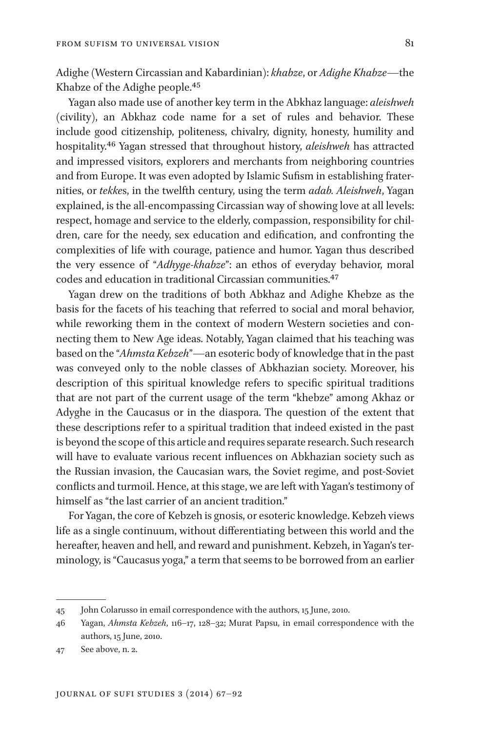Adighe (Western Circassian and Kabardinian): *khabze*, or *Adighe Khabze*—the Khabze of the Adighe people.45

Yagan also made use of another key term in the Abkhaz language: *aleishweh* (civility), an Abkhaz code name for a set of rules and behavior. These include good citizenship, politeness, chivalry, dignity, honesty, humility and hospitality.46 Yagan stressed that throughout history, *aleishweh* has attracted and impressed visitors, explorers and merchants from neighboring countries and from Europe. It was even adopted by Islamic Sufism in establishing fraternities, or *tekke*s, in the twelfth century, using the term *adab. Aleishweh*, Yagan explained, is the all-encompassing Circassian way of showing love at all levels: respect, homage and service to the elderly, compassion, responsibility for children, care for the needy, sex education and edification, and confronting the complexities of life with courage, patience and humor. Yagan thus described the very essence of "*Adhyge-khabze*": an ethos of everyday behavior, moral codes and education in traditional Circassian communities.47

Yagan drew on the traditions of both Abkhaz and Adighe Khebze as the basis for the facets of his teaching that referred to social and moral behavior, while reworking them in the context of modern Western societies and connecting them to New Age ideas. Notably, Yagan claimed that his teaching was based on the "*Ahmsta Kebzeh*"—an esoteric body of knowledge that in the past was conveyed only to the noble classes of Abkhazian society. Moreover, his description of this spiritual knowledge refers to specific spiritual traditions that are not part of the current usage of the term "khebze" among Akhaz or Adyghe in the Caucasus or in the diaspora. The question of the extent that these descriptions refer to a spiritual tradition that indeed existed in the past is beyond the scope of this article and requires separate research. Such research will have to evaluate various recent influences on Abkhazian society such as the Russian invasion, the Caucasian wars, the Soviet regime, and post-Soviet conflicts and turmoil. Hence, at this stage, we are left with Yagan's testimony of himself as "the last carrier of an ancient tradition."

For Yagan, the core of Kebzeh is gnosis, or esoteric knowledge. Kebzeh views life as a single continuum, without differentiating between this world and the hereafter, heaven and hell, and reward and punishment. Kebzeh, in Yagan's terminology, is "Caucasus yoga," a term that seems to be borrowed from an earlier

<sup>45</sup> John Colarusso in email correspondence with the authors, 15 June, 2010.

<sup>46</sup> Yagan, *Ahmsta Kebzeh*, 116–17, 128–32; Murat Papsu, in email correspondence with the authors, 15 June, 2010.

<sup>47</sup> See above, n. 2.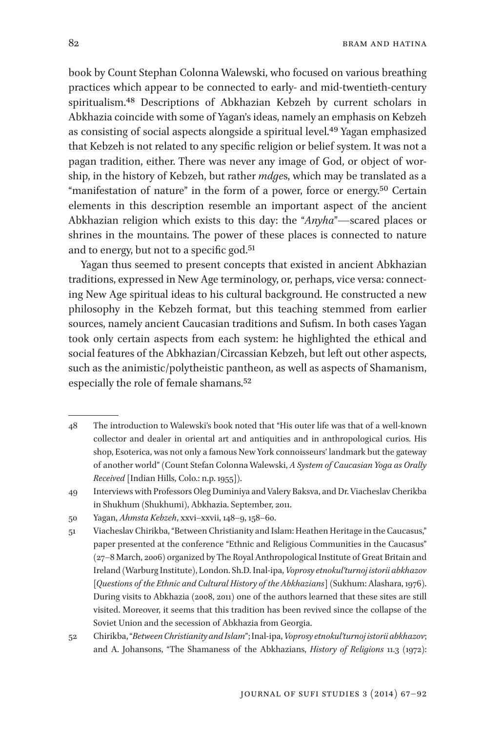82 BRAM AND HATINA

book by Count Stephan Colonna Walewski, who focused on various breathing practices which appear to be connected to early- and mid-twentieth-century spiritualism.48 Descriptions of Abkhazian Kebzeh by current scholars in Abkhazia coincide with some of Yagan's ideas, namely an emphasis on Kebzeh as consisting of social aspects alongside a spiritual level.49 Yagan emphasized that Kebzeh is not related to any specific religion or belief system. It was not a pagan tradition, either. There was never any image of God, or object of worship, in the history of Kebzeh, but rather *mdge*s, which may be translated as a "manifestation of nature" in the form of a power, force or energy.50 Certain elements in this description resemble an important aspect of the ancient Abkhazian religion which exists to this day: the "*Anyha*"—scared places or shrines in the mountains. The power of these places is connected to nature and to energy, but not to a specific god.<sup>51</sup>

Yagan thus seemed to present concepts that existed in ancient Abkhazian traditions, expressed in New Age terminology, or, perhaps, vice versa: connecting New Age spiritual ideas to his cultural background. He constructed a new philosophy in the Kebzeh format, but this teaching stemmed from earlier sources, namely ancient Caucasian traditions and Sufism. In both cases Yagan took only certain aspects from each system: he highlighted the ethical and social features of the Abkhazian/Circassian Kebzeh, but left out other aspects, such as the animistic/polytheistic pantheon, as well as aspects of Shamanism, especially the role of female shamans.52

<sup>48</sup> The introduction to Walewski's book noted that "His outer life was that of a well-known collector and dealer in oriental art and antiquities and in anthropological curios. His shop, Esoterica, was not only a famous New York connoisseurs' landmark but the gateway of another world" (Count Stefan Colonna Walewski, *A System of Caucasian Yoga as Orally Received* [Indian Hills, Colo.: n.p. 1955]).

<sup>49</sup> Interviews with Professors Oleg Duminiya and Valery Baksva, and Dr. Viacheslav Cherikba in Shukhum (Shukhumi), Abkhazia. September, 2011.

<sup>50</sup> Yagan, *Ahmsta Kebzeh*, xxvi–xxvii, 148–9, 158–60.

<sup>51</sup> Viacheslav Chirikba, "Between Christianity and Islam: Heathen Heritage in the Caucasus," paper presented at the conference "Ethnic and Religious Communities in the Caucasus" (27–8 March, 2006) organized by The Royal Anthropological Institute of Great Britain and Ireland (Warburg Institute), London. Sh.D. Inal-ipa, *Voprosy etnokul'turnoj istorii abkhazov [Questions of the Ethnic and Cultural History of the Abkhazians]* (Sukhum: Alashara, 1976). During visits to Abkhazia (2008, 2011) one of the authors learned that these sites are still visited. Moreover, it seems that this tradition has been revived since the collapse of the Soviet Union and the secession of Abkhazia from Georgia.

<sup>52</sup> Chirikba, "*Between Christianity and Islam*"; Inal-ipa, *Voprosy etnokul'turnoj istorii abkhazov*; and A. Johansons, "The Shamaness of the Abkhazians, *History of Religions* 11.3 (1972):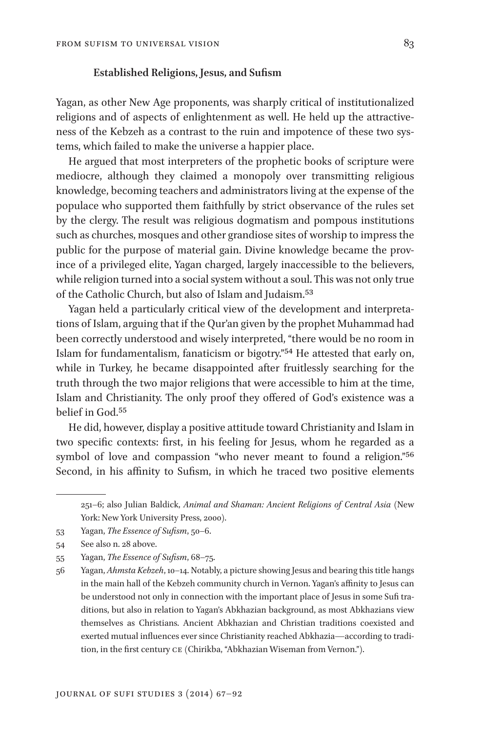# **Established Religions, Jesus, and Sufism**

Yagan, as other New Age proponents, was sharply critical of institutionalized religions and of aspects of enlightenment as well. He held up the attractiveness of the Kebzeh as a contrast to the ruin and impotence of these two systems, which failed to make the universe a happier place.

He argued that most interpreters of the prophetic books of scripture were mediocre, although they claimed a monopoly over transmitting religious knowledge, becoming teachers and administrators living at the expense of the populace who supported them faithfully by strict observance of the rules set by the clergy. The result was religious dogmatism and pompous institutions such as churches, mosques and other grandiose sites of worship to impress the public for the purpose of material gain. Divine knowledge became the province of a privileged elite, Yagan charged, largely inaccessible to the believers, while religion turned into a social system without a soul. This was not only true of the Catholic Church, but also of Islam and Judaism.53

Yagan held a particularly critical view of the development and interpretations of Islam, arguing that if the Qur'an given by the prophet Muhammad had been correctly understood and wisely interpreted, "there would be no room in Islam for fundamentalism, fanaticism or bigotry."54 He attested that early on, while in Turkey, he became disappointed after fruitlessly searching for the truth through the two major religions that were accessible to him at the time, Islam and Christianity. The only proof they offered of God's existence was a belief in God.55

He did, however, display a positive attitude toward Christianity and Islam in two specific contexts: first, in his feeling for Jesus, whom he regarded as a symbol of love and compassion "who never meant to found a religion."56 Second, in his affinity to Sufism, in which he traced two positive elements

53 Yagan, *The Essence of Sufism*, 50–6.

<sup>251–6;</sup> also Julian Baldick, *Animal and Shaman: Ancient Religions of Central Asia* (New York: New York University Press, 2000).

<sup>54</sup> See also n. 28 above.

<sup>55</sup> Yagan, *The Essence of Sufism*, 68–75.

<sup>56</sup> Yagan, *Ahmsta Kebzeh*, 10–14. Notably, a picture showing Jesus and bearing this title hangs in the main hall of the Kebzeh community church in Vernon. Yagan's affinity to Jesus can be understood not only in connection with the important place of Jesus in some Sufi traditions, but also in relation to Yagan's Abkhazian background, as most Abkhazians view themselves as Christians. Ancient Abkhazian and Christian traditions coexisted and exerted mutual influences ever since Christianity reached Abkhazia—according to tradition, in the first century CE (Chirikba, "Abkhazian Wiseman from Vernon.").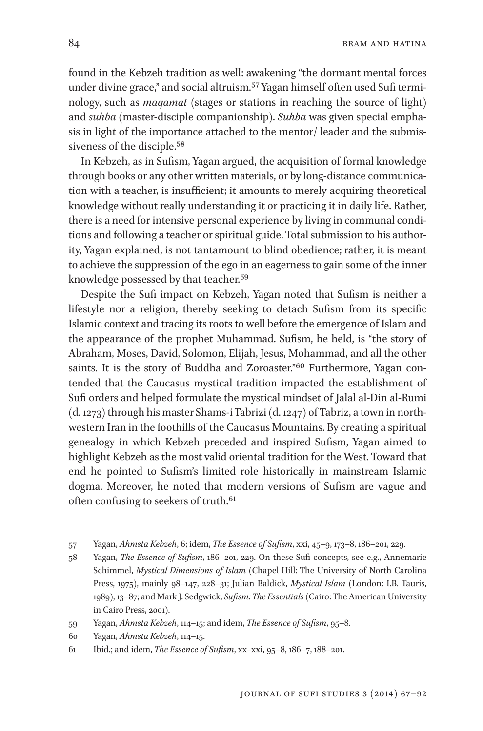found in the Kebzeh tradition as well: awakening "the dormant mental forces under divine grace," and social altruism.<sup>57</sup> Yagan himself often used Sufi terminology, such as *maqamat* (stages or stations in reaching the source of light) and *suhba* (master-disciple companionship). *Suhba* was given special emphasis in light of the importance attached to the mentor/ leader and the submissiveness of the disciple.58

In Kebzeh, as in Sufism, Yagan argued, the acquisition of formal knowledge through books or any other written materials, or by long-distance communication with a teacher, is insufficient; it amounts to merely acquiring theoretical knowledge without really understanding it or practicing it in daily life. Rather, there is a need for intensive personal experience by living in communal conditions and following a teacher or spiritual guide. Total submission to his authority, Yagan explained, is not tantamount to blind obedience; rather, it is meant to achieve the suppression of the ego in an eagerness to gain some of the inner knowledge possessed by that teacher.59

Despite the Sufi impact on Kebzeh, Yagan noted that Sufism is neither a lifestyle nor a religion, thereby seeking to detach Sufism from its specific Islamic context and tracing its roots to well before the emergence of Islam and the appearance of the prophet Muhammad. Sufism, he held, is "the story of Abraham, Moses, David, Solomon, Elijah, Jesus, Mohammad, and all the other saints. It is the story of Buddha and Zoroaster."<sup>60</sup> Furthermore, Yagan contended that the Caucasus mystical tradition impacted the establishment of Sufi orders and helped formulate the mystical mindset of Jalal al-Din al-Rumi (d. 1273) through his master Shams-i Tabrizi (d. 1247) of Tabriz, a town in northwestern Iran in the foothills of the Caucasus Mountains. By creating a spiritual genealogy in which Kebzeh preceded and inspired Sufism, Yagan aimed to highlight Kebzeh as the most valid oriental tradition for the West. Toward that end he pointed to Sufism's limited role historically in mainstream Islamic dogma. Moreover, he noted that modern versions of Sufism are vague and often confusing to seekers of truth.<sup>61</sup>

<sup>57</sup> Yagan, *Ahmsta Kebzeh*, 6; idem, *The Essence of Sufism*, xxi, 45–9, 173–8, 186–201, 229.

<sup>58</sup> Yagan, *The Essence of Sufism*, 186–201, 229. On these Sufi concepts, see e.g., Annemarie Schimmel, *Mystical Dimensions of Islam* (Chapel Hill: The University of North Carolina Press, 1975), mainly 98–147, 228–31; Julian Baldick, *Mystical Islam* (London: I.B. Tauris, 1989), 13–87; and Mark J. Sedgwick, *Sufism: The Essentials* (Cairo: The American University in Cairo Press, 2001).

<sup>59</sup> Yagan, *Ahmsta Kebzeh*, 114–15; and idem, *The Essence of Sufism*, 95–8.

<sup>60</sup> Yagan, *Ahmsta Kebzeh*, 114–15.

<sup>61</sup> Ibid.; and idem, *The Essence of Sufism*, xx–xxi, 95–8, 186–7, 188–201.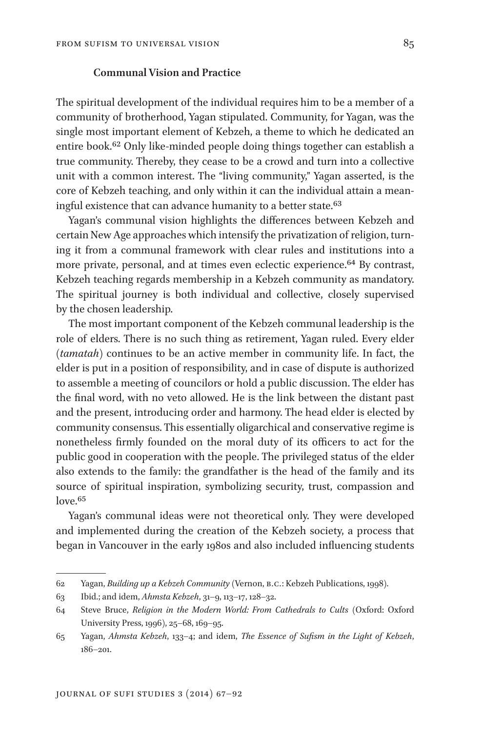#### **Communal Vision and Practice**

The spiritual development of the individual requires him to be a member of a community of brotherhood, Yagan stipulated. Community, for Yagan, was the single most important element of Kebzeh, a theme to which he dedicated an entire book.62 Only like-minded people doing things together can establish a true community. Thereby, they cease to be a crowd and turn into a collective unit with a common interest. The "living community," Yagan asserted, is the core of Kebzeh teaching, and only within it can the individual attain a meaningful existence that can advance humanity to a better state.<sup>63</sup>

Yagan's communal vision highlights the differences between Kebzeh and certain New Age approaches which intensify the privatization of religion, turning it from a communal framework with clear rules and institutions into a more private, personal, and at times even eclectic experience.<sup>64</sup> By contrast, Kebzeh teaching regards membership in a Kebzeh community as mandatory. The spiritual journey is both individual and collective, closely supervised by the chosen leadership.

The most important component of the Kebzeh communal leadership is the role of elders. There is no such thing as retirement, Yagan ruled. Every elder (*tamatah*) continues to be an active member in community life. In fact, the elder is put in a position of responsibility, and in case of dispute is authorized to assemble a meeting of councilors or hold a public discussion. The elder has the final word, with no veto allowed. He is the link between the distant past and the present, introducing order and harmony. The head elder is elected by community consensus. This essentially oligarchical and conservative regime is nonetheless firmly founded on the moral duty of its officers to act for the public good in cooperation with the people. The privileged status of the elder also extends to the family: the grandfather is the head of the family and its source of spiritual inspiration, symbolizing security, trust, compassion and love.<sup>65</sup>

Yagan's communal ideas were not theoretical only. They were developed and implemented during the creation of the Kebzeh society, a process that began in Vancouver in the early 1980s and also included influencing students

<sup>62</sup> Yagan, *Building up a Kebzeh Community* (Vernon, b.c.: Kebzeh Publications, 1998).

<sup>63</sup> Ibid.; and idem, *Ahmsta Kebzeh*, 31–9, 113–17, 128–32.

<sup>64</sup> Steve Bruce, *Religion in the Modern World: From Cathedrals to Cults* (Oxford: Oxford University Press, 1996), 25–68, 169–95.

<sup>65</sup> Yagan, *Ahmsta Kebzeh*, 133–4; and idem, *The Essence of Sufism in the Light of Kebzeh*, 186–201.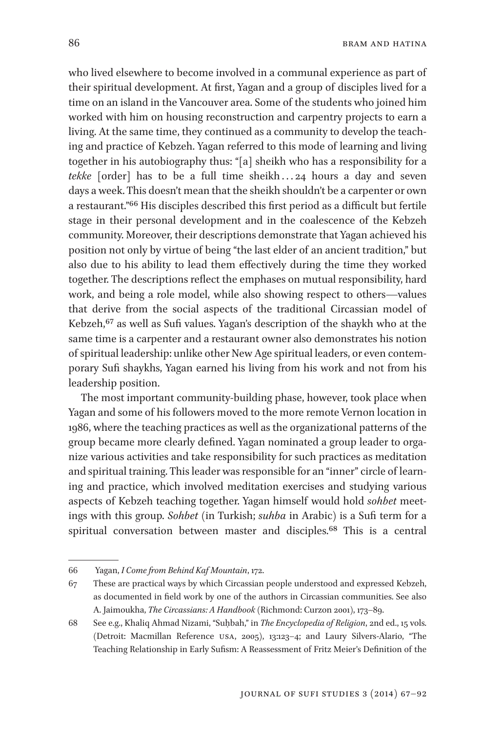who lived elsewhere to become involved in a communal experience as part of their spiritual development. At first, Yagan and a group of disciples lived for a time on an island in the Vancouver area. Some of the students who joined him worked with him on housing reconstruction and carpentry projects to earn a living. At the same time, they continued as a community to develop the teaching and practice of Kebzeh. Yagan referred to this mode of learning and living together in his autobiography thus: "[a] sheikh who has a responsibility for a *tekke* [order] has to be a full time sheikh ... 24 hours a day and seven days a week. This doesn't mean that the sheikh shouldn't be a carpenter or own a restaurant."66 His disciples described this first period as a difficult but fertile stage in their personal development and in the coalescence of the Kebzeh community. Moreover, their descriptions demonstrate that Yagan achieved his position not only by virtue of being "the last elder of an ancient tradition," but also due to his ability to lead them effectively during the time they worked together. The descriptions reflect the emphases on mutual responsibility, hard work, and being a role model, while also showing respect to others—values that derive from the social aspects of the traditional Circassian model of Kebzeh,<sup>67</sup> as well as Sufi values. Yagan's description of the shaykh who at the same time is a carpenter and a restaurant owner also demonstrates his notion of spiritual leadership: unlike other New Age spiritual leaders, or even contemporary Sufi shaykhs, Yagan earned his living from his work and not from his leadership position.

The most important community-building phase, however, took place when Yagan and some of his followers moved to the more remote Vernon location in 1986, where the teaching practices as well as the organizational patterns of the group became more clearly defined. Yagan nominated a group leader to organize various activities and take responsibility for such practices as meditation and spiritual training. This leader was responsible for an "inner" circle of learning and practice, which involved meditation exercises and studying various aspects of Kebzeh teaching together. Yagan himself would hold *sohbet* meetings with this group. *Sohbet* (in Turkish; *suhba* in Arabic) is a Sufi term for a spiritual conversation between master and disciples.68 This is a central

<sup>66</sup> Yagan, *I Come from Behind Kaf Mountain*, 172.

<sup>67</sup> These are practical ways by which Circassian people understood and expressed Kebzeh, as documented in field work by one of the authors in Circassian communities. See also A. Jaimoukha, *The Circassians: A Handbook* (Richmond: Curzon 2001), 173–89.

<sup>68</sup> See e.g., Khaliq Ahmad Nizami, "Suḥbah," in *The Encyclopedia of Religion*, 2nd ed., 15 vols. (Detroit: Macmillan Reference usa, 2005), 13:123–4; and Laury Silvers-Alario, "The Teaching Relationship in Early Sufism: A Reassessment of Fritz Meier's Definition of the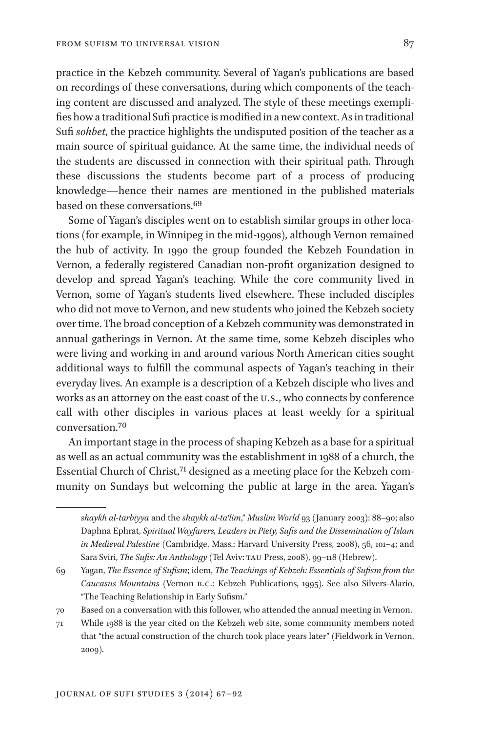practice in the Kebzeh community. Several of Yagan's publications are based on recordings of these conversations, during which components of the teaching content are discussed and analyzed. The style of these meetings exemplifies how a traditional Sufi practice is modified in a new context. As in traditional Sufi *sohbet*, the practice highlights the undisputed position of the teacher as a main source of spiritual guidance. At the same time, the individual needs of the students are discussed in connection with their spiritual path. Through these discussions the students become part of a process of producing knowledge—hence their names are mentioned in the published materials based on these conversations.69

Some of Yagan's disciples went on to establish similar groups in other locations (for example, in Winnipeg in the mid-1990s), although Vernon remained the hub of activity. In 1990 the group founded the Kebzeh Foundation in Vernon, a federally registered Canadian non-profit organization designed to develop and spread Yagan's teaching. While the core community lived in Vernon, some of Yagan's students lived elsewhere. These included disciples who did not move to Vernon, and new students who joined the Kebzeh society over time. The broad conception of a Kebzeh community was demonstrated in annual gatherings in Vernon. At the same time, some Kebzeh disciples who were living and working in and around various North American cities sought additional ways to fulfill the communal aspects of Yagan's teaching in their everyday lives. An example is a description of a Kebzeh disciple who lives and works as an attorney on the east coast of the u.s., who connects by conference call with other disciples in various places at least weekly for a spiritual conversation.70

An important stage in the process of shaping Kebzeh as a base for a spiritual as well as an actual community was the establishment in 1988 of a church, the Essential Church of Christ,<sup>71</sup> designed as a meeting place for the Kebzeh community on Sundays but welcoming the public at large in the area. Yagan's

*shaykh al-tarbiyya* and the *shaykh al-ta'lim*," *Muslim World* 93 (January 2003): 88–90; also Daphna Ephrat, *Spiritual Wayfarers, Leaders in Piety, Sufis and the Dissemination of Islam in Medieval Palestine* (Cambridge, Mass.: Harvard University Press, 2008), 56, 101–4; and Sara Sviri, *The Sufis: An Anthology* (Tel Aviv: tau Press, 2008), 99–118 (Hebrew).

<sup>69</sup> Yagan, *The Essence of Sufism*; idem, *The Teachings of Kebzeh: Essentials of Sufism from the Caucasus Mountains* (Vernon b.c.: Kebzeh Publications, 1995). See also Silvers-Alario, "The Teaching Relationship in Early Sufism."

<sup>70</sup> Based on a conversation with this follower, who attended the annual meeting in Vernon.

<sup>71</sup> While 1988 is the year cited on the Kebzeh web site, some community members noted that "the actual construction of the church took place years later" (Fieldwork in Vernon, 2009).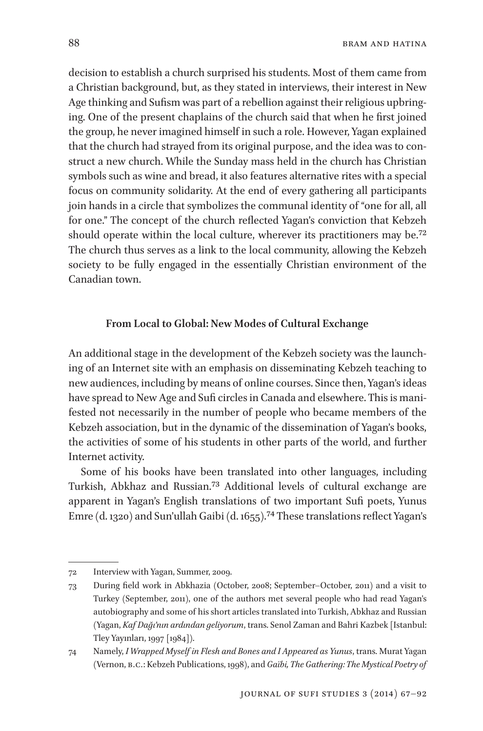decision to establish a church surprised his students. Most of them came from a Christian background, but, as they stated in interviews, their interest in New Age thinking and Sufism was part of a rebellion against their religious upbringing. One of the present chaplains of the church said that when he first joined the group, he never imagined himself in such a role. However, Yagan explained that the church had strayed from its original purpose, and the idea was to construct a new church. While the Sunday mass held in the church has Christian symbols such as wine and bread, it also features alternative rites with a special focus on community solidarity. At the end of every gathering all participants join hands in a circle that symbolizes the communal identity of "one for all, all for one." The concept of the church reflected Yagan's conviction that Kebzeh should operate within the local culture, wherever its practitioners may be.<sup>72</sup> The church thus serves as a link to the local community, allowing the Kebzeh society to be fully engaged in the essentially Christian environment of the Canadian town.

# **From Local to Global: New Modes of Cultural Exchange**

An additional stage in the development of the Kebzeh society was the launching of an Internet site with an emphasis on disseminating Kebzeh teaching to new audiences, including by means of online courses. Since then, Yagan's ideas have spread to New Age and Sufi circles in Canada and elsewhere. This is manifested not necessarily in the number of people who became members of the Kebzeh association, but in the dynamic of the dissemination of Yagan's books, the activities of some of his students in other parts of the world, and further Internet activity.

Some of his books have been translated into other languages, including Turkish, Abkhaz and Russian.73 Additional levels of cultural exchange are apparent in Yagan's English translations of two important Sufi poets, Yunus Emre (d. 1320) and Sun'ullah Gaibi (d. 1655).74 These translations reflect Yagan's

<sup>72</sup> Interview with Yagan, Summer, 2009.

<sup>73</sup> During field work in Abkhazia (October, 2008; September–October, 2011) and a visit to Turkey (September, 2011), one of the authors met several people who had read Yagan's autobiography and some of his short articles translated into Turkish, Abkhaz and Russian (Yagan, *Kaf Dăı'nın ardından geliyorum*, trans. Senol Zaman and Bahri Kazbek [Istanbul: Tley Yayınları, 1997 [1984]).

<sup>74</sup> Namely, *I Wrapped Myself in Flesh and Bones and I Appeared as Yunus*, trans. Murat Yagan (Vernon, b.c.: Kebzeh Publications, 1998), and *Gaïbi, The Gathering: The Mystical Poetry of*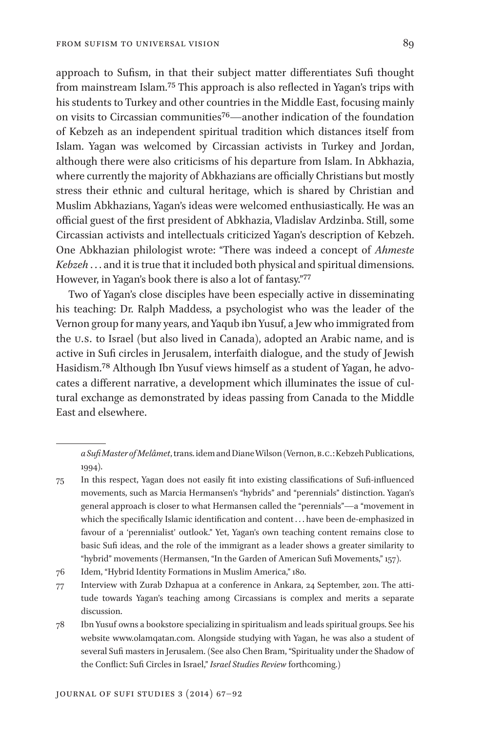approach to Sufism, in that their subject matter differentiates Sufi thought from mainstream Islam.75 This approach is also reflected in Yagan's trips with his students to Turkey and other countries in the Middle East, focusing mainly on visits to Circassian communities76—another indication of the foundation of Kebzeh as an independent spiritual tradition which distances itself from Islam. Yagan was welcomed by Circassian activists in Turkey and Jordan, although there were also criticisms of his departure from Islam. In Abkhazia, where currently the majority of Abkhazians are officially Christians but mostly stress their ethnic and cultural heritage, which is shared by Christian and Muslim Abkhazians, Yagan's ideas were welcomed enthusiastically. He was an official guest of the first president of Abkhazia, Vladislav Ardzinba. Still, some Circassian activists and intellectuals criticized Yagan's description of Kebzeh. One Abkhazian philologist wrote: "There was indeed a concept of *Ahmeste Kebzeh* . . . and it is true that it included both physical and spiritual dimensions. However, in Yagan's book there is also a lot of fantasy."77

Two of Yagan's close disciples have been especially active in disseminating his teaching: Dr. Ralph Maddess, a psychologist who was the leader of the Vernon group for many years, and Yaqub ibn Yusuf, a Jew who immigrated from the u.s. to Israel (but also lived in Canada), adopted an Arabic name, and is active in Sufi circles in Jerusalem, interfaith dialogue, and the study of Jewish Hasidism.78 Although Ibn Yusuf views himself as a student of Yagan, he advocates a different narrative, a development which illuminates the issue of cultural exchange as demonstrated by ideas passing from Canada to the Middle East and elsewhere.

- 75 In this respect, Yagan does not easily fit into existing classifications of Sufi-influenced movements, such as Marcia Hermansen's "hybrids" and "perennials" distinction. Yagan's general approach is closer to what Hermansen called the "perennials"—a "movement in which the specifically Islamic identification and content . . . have been de-emphasized in favour of a 'perennialist' outlook." Yet, Yagan's own teaching content remains close to basic Sufi ideas, and the role of the immigrant as a leader shows a greater similarity to "hybrid" movements (Hermansen, "In the Garden of American Sufi Movements," 157).
- 76 Idem, "Hybrid Identity Formations in Muslim America," 180.
- 77 Interview with Zurab Dzhapua at a conference in Ankara, 24 September, 2011. The attitude towards Yagan's teaching among Circassians is complex and merits a separate discussion.
- 78 Ibn Yusuf owns a bookstore specializing in spiritualism and leads spiritual groups. See his website www.olamqatan.com. Alongside studying with Yagan, he was also a student of several Sufi masters in Jerusalem. (See also Chen Bram, "Spirituality under the Shadow of the Conflict: Sufi Circles in Israel," *Israel Studies Review* forthcoming.)

*a Sufi Master of Melâmet*, trans. idem and Diane Wilson (Vernon, b.c.: Kebzeh Publications, 1994).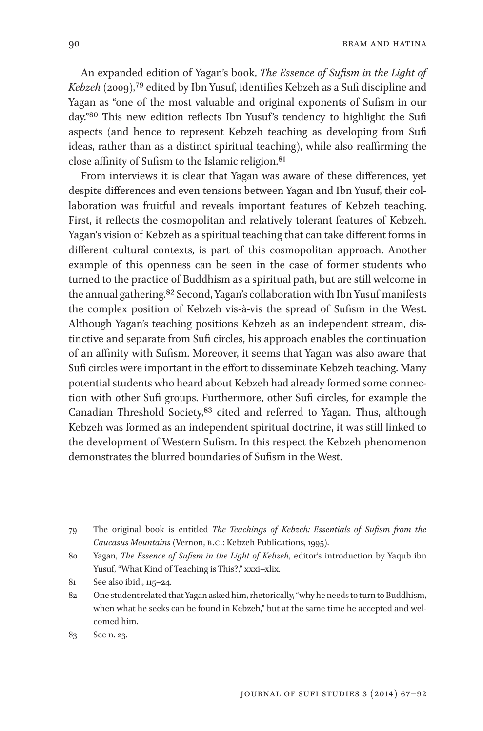An expanded edition of Yagan's book, *The Essence of Sufism in the Light of Kebzeh* (2009),79 edited by Ibn Yusuf, identifies Kebzeh as a Sufi discipline and Yagan as "one of the most valuable and original exponents of Sufism in our day."80 This new edition reflects Ibn Yusuf's tendency to highlight the Sufi aspects (and hence to represent Kebzeh teaching as developing from Sufi ideas, rather than as a distinct spiritual teaching), while also reaffirming the close affinity of Sufism to the Islamic religion.81

From interviews it is clear that Yagan was aware of these differences, yet despite differences and even tensions between Yagan and Ibn Yusuf, their collaboration was fruitful and reveals important features of Kebzeh teaching. First, it reflects the cosmopolitan and relatively tolerant features of Kebzeh. Yagan's vision of Kebzeh as a spiritual teaching that can take different forms in different cultural contexts, is part of this cosmopolitan approach. Another example of this openness can be seen in the case of former students who turned to the practice of Buddhism as a spiritual path, but are still welcome in the annual gathering.82 Second, Yagan's collaboration with Ibn Yusuf manifests the complex position of Kebzeh vis-à-vis the spread of Sufism in the West. Although Yagan's teaching positions Kebzeh as an independent stream, distinctive and separate from Sufi circles, his approach enables the continuation of an affinity with Sufism. Moreover, it seems that Yagan was also aware that Sufi circles were important in the effort to disseminate Kebzeh teaching. Many potential students who heard about Kebzeh had already formed some connection with other Sufi groups. Furthermore, other Sufi circles, for example the Canadian Threshold Society,<sup>83</sup> cited and referred to Yagan. Thus, although Kebzeh was formed as an independent spiritual doctrine, it was still linked to the development of Western Sufism. In this respect the Kebzeh phenomenon demonstrates the blurred boundaries of Sufism in the West.

<sup>79</sup> The original book is entitled *The Teachings of Kebzeh: Essentials of Sufism from the Caucasus Mountains* (Vernon, b.c.: Kebzeh Publications, 1995).

<sup>80</sup> Yagan, *The Essence of Sufism in the Light of Kebzeh*, editor's introduction by Yaqub ibn Yusuf, "What Kind of Teaching is This?," xxxi–xlix.

<sup>81</sup> See also ibid., 115–24.

<sup>82</sup> One student related that Yagan asked him, rhetorically, "why he needs to turn to Buddhism, when what he seeks can be found in Kebzeh," but at the same time he accepted and welcomed him.

<sup>83</sup> See n. 23.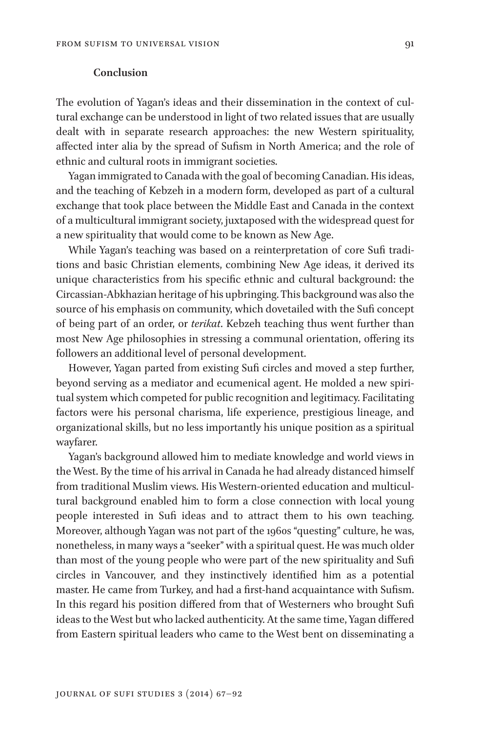#### **Conclusion**

The evolution of Yagan's ideas and their dissemination in the context of cultural exchange can be understood in light of two related issues that are usually dealt with in separate research approaches: the new Western spirituality, affected inter alia by the spread of Sufism in North America; and the role of ethnic and cultural roots in immigrant societies.

Yagan immigrated to Canada with the goal of becoming Canadian. His ideas, and the teaching of Kebzeh in a modern form, developed as part of a cultural exchange that took place between the Middle East and Canada in the context of a multicultural immigrant society, juxtaposed with the widespread quest for a new spirituality that would come to be known as New Age.

While Yagan's teaching was based on a reinterpretation of core Sufi traditions and basic Christian elements, combining New Age ideas, it derived its unique characteristics from his specific ethnic and cultural background: the Circassian-Abkhazian heritage of his upbringing. This background was also the source of his emphasis on community, which dovetailed with the Sufi concept of being part of an order, or *terikat*. Kebzeh teaching thus went further than most New Age philosophies in stressing a communal orientation, offering its followers an additional level of personal development.

However, Yagan parted from existing Sufi circles and moved a step further, beyond serving as a mediator and ecumenical agent. He molded a new spiritual system which competed for public recognition and legitimacy. Facilitating factors were his personal charisma, life experience, prestigious lineage, and organizational skills, but no less importantly his unique position as a spiritual wayfarer.

Yagan's background allowed him to mediate knowledge and world views in the West. By the time of his arrival in Canada he had already distanced himself from traditional Muslim views. His Western-oriented education and multicultural background enabled him to form a close connection with local young people interested in Sufi ideas and to attract them to his own teaching. Moreover, although Yagan was not part of the 1960s "questing" culture, he was, nonetheless, in many ways a "seeker" with a spiritual quest. He was much older than most of the young people who were part of the new spirituality and Sufi circles in Vancouver, and they instinctively identified him as a potential master. He came from Turkey, and had a first-hand acquaintance with Sufism. In this regard his position differed from that of Westerners who brought Sufi ideas to the West but who lacked authenticity. At the same time, Yagan differed from Eastern spiritual leaders who came to the West bent on disseminating a